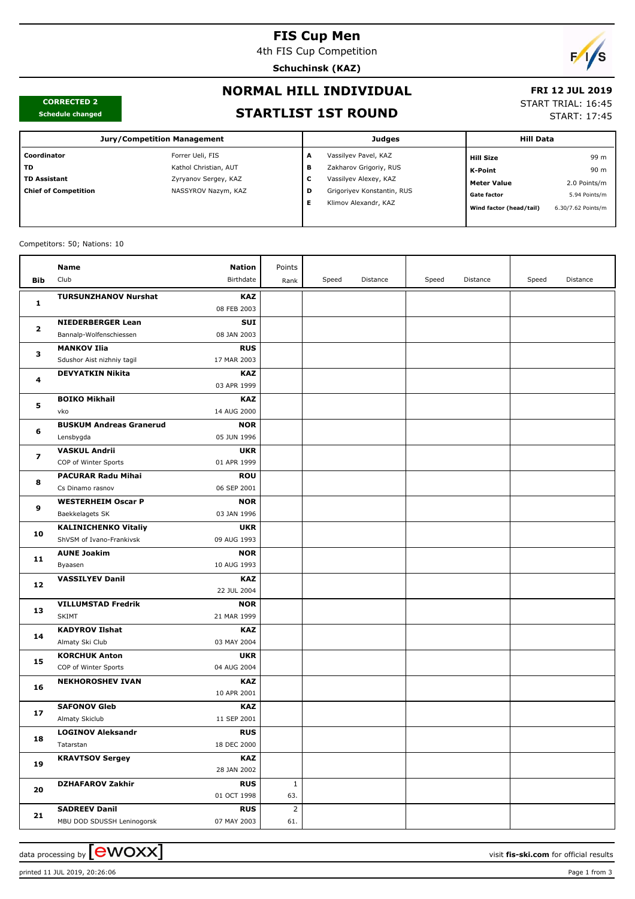## **FIS Cup Men**

4th FIS Cup Competition

**Schuchinsk (KAZ)**



**CORRECTED 2 Schedule changed**

## **NORMAL HILL INDIVIDUAL**

## **FRI 12 JUL 2019**

START TRIAL: 16:45

START: 17:45

# **STARTLIST 1ST ROUND**

| <b>Jury/Competition Management</b> |                       |   | Judges                     | <b>Hill Data</b>        |                    |  |
|------------------------------------|-----------------------|---|----------------------------|-------------------------|--------------------|--|
| Coordinator                        | Forrer Ueli, FIS      | А | Vassilyev Pavel, KAZ       | <b>Hill Size</b>        | 99 m               |  |
| TD.                                | Kathol Christian, AUT | в | Zakharov Grigoriy, RUS     | K-Point                 | 90 m               |  |
| <b>TD Assistant</b>                | Zyryanov Sergey, KAZ  | ◡ | Vassilyev Alexey, KAZ      | <b>Meter Value</b>      | 2.0 Points/m       |  |
| <b>Chief of Competition</b>        | NASSYROV Nazym, KAZ   | D | Grigoriyev Konstantin, RUS | <b>Gate factor</b>      | 5.94 Points/m      |  |
|                                    |                       |   | Klimov Alexandr, KAZ       | Wind factor (head/tail) | 6.30/7.62 Points/m |  |
|                                    |                       |   |                            |                         |                    |  |

#### Competitors: 50; Nations: 10

|                         | Name                           | Nation                    | Points       |       |          |       |          |       |          |
|-------------------------|--------------------------------|---------------------------|--------------|-------|----------|-------|----------|-------|----------|
| Bib                     | Club                           | Birthdate                 | Rank         | Speed | Distance | Speed | Distance | Speed | Distance |
|                         | <b>TURSUNZHANOV Nurshat</b>    | <b>KAZ</b>                |              |       |          |       |          |       |          |
| 1                       |                                | 08 FEB 2003               |              |       |          |       |          |       |          |
| $\mathbf{2}$            | <b>NIEDERBERGER Lean</b>       | SUI                       |              |       |          |       |          |       |          |
|                         | Bannalp-Wolfenschiessen        | 08 JAN 2003               |              |       |          |       |          |       |          |
| з                       | <b>MANKOV Ilia</b>             | <b>RUS</b>                |              |       |          |       |          |       |          |
|                         | Sdushor Aist nizhniy tagil     | 17 MAR 2003               |              |       |          |       |          |       |          |
|                         | <b>DEVYATKIN Nikita</b>        | <b>KAZ</b>                |              |       |          |       |          |       |          |
| 4                       |                                | 03 APR 1999               |              |       |          |       |          |       |          |
|                         | <b>BOIKO Mikhail</b>           | <b>KAZ</b>                |              |       |          |       |          |       |          |
| 5                       | vko                            | 14 AUG 2000               |              |       |          |       |          |       |          |
|                         | <b>BUSKUM Andreas Granerud</b> | <b>NOR</b>                |              |       |          |       |          |       |          |
| 6                       | Lensbygda                      | 05 JUN 1996               |              |       |          |       |          |       |          |
| $\overline{\mathbf{z}}$ | <b>VASKUL Andrii</b>           | <b>UKR</b>                |              |       |          |       |          |       |          |
|                         | COP of Winter Sports           | 01 APR 1999               |              |       |          |       |          |       |          |
| 8                       | <b>PACURAR Radu Mihai</b>      | <b>ROU</b>                |              |       |          |       |          |       |          |
|                         | Cs Dinamo rasnov               | 06 SEP 2001               |              |       |          |       |          |       |          |
| 9                       | <b>WESTERHEIM Oscar P</b>      | <b>NOR</b>                |              |       |          |       |          |       |          |
|                         | Baekkelagets SK                | 03 JAN 1996               |              |       |          |       |          |       |          |
| 10                      | <b>KALINICHENKO Vitaliy</b>    | <b>UKR</b>                |              |       |          |       |          |       |          |
|                         | ShVSM of Ivano-Frankivsk       | 09 AUG 1993               |              |       |          |       |          |       |          |
| 11                      | <b>AUNE Joakim</b>             | <b>NOR</b>                |              |       |          |       |          |       |          |
|                         | Byaasen                        | 10 AUG 1993               |              |       |          |       |          |       |          |
| 12                      | <b>VASSILYEV Danil</b>         | <b>KAZ</b>                |              |       |          |       |          |       |          |
|                         |                                | 22 JUL 2004               |              |       |          |       |          |       |          |
| 13                      | <b>VILLUMSTAD Fredrik</b>      | <b>NOR</b>                |              |       |          |       |          |       |          |
|                         | <b>SKIMT</b>                   | 21 MAR 1999               |              |       |          |       |          |       |          |
| 14                      | <b>KADYROV Ilshat</b>          | <b>KAZ</b>                |              |       |          |       |          |       |          |
|                         | Almaty Ski Club                | 03 MAY 2004               |              |       |          |       |          |       |          |
| 15                      | <b>KORCHUK Anton</b>           | <b>UKR</b><br>04 AUG 2004 |              |       |          |       |          |       |          |
|                         | COP of Winter Sports           |                           |              |       |          |       |          |       |          |
| 16                      | <b>NEKHOROSHEV IVAN</b>        | <b>KAZ</b><br>10 APR 2001 |              |       |          |       |          |       |          |
|                         | <b>SAFONOV Gleb</b>            | KAZ                       |              |       |          |       |          |       |          |
| 17                      | Almaty Skiclub                 | 11 SEP 2001               |              |       |          |       |          |       |          |
|                         | <b>LOGINOV Aleksandr</b>       | <b>RUS</b>                |              |       |          |       |          |       |          |
| 18                      | Tatarstan                      | 18 DEC 2000               |              |       |          |       |          |       |          |
| 19                      | <b>KRAVTSOV Sergey</b>         | <b>KAZ</b>                |              |       |          |       |          |       |          |
|                         |                                | 28 JAN 2002               |              |       |          |       |          |       |          |
|                         | <b>DZHAFAROV Zakhir</b>        | <b>RUS</b>                | $\mathbf{1}$ |       |          |       |          |       |          |
| 20                      |                                | 01 OCT 1998               | 63.          |       |          |       |          |       |          |
|                         | <b>SADREEV Danil</b>           | <b>RUS</b>                | 2            |       |          |       |          |       |          |
| 21                      | MBU DOD SDUSSH Leninogorsk     | 07 MAY 2003               | 61.          |       |          |       |          |       |          |

data processing by **CWOXX**  $\blacksquare$ 

printed 11 JUL 2019, 20:26:06 Page 1 from 3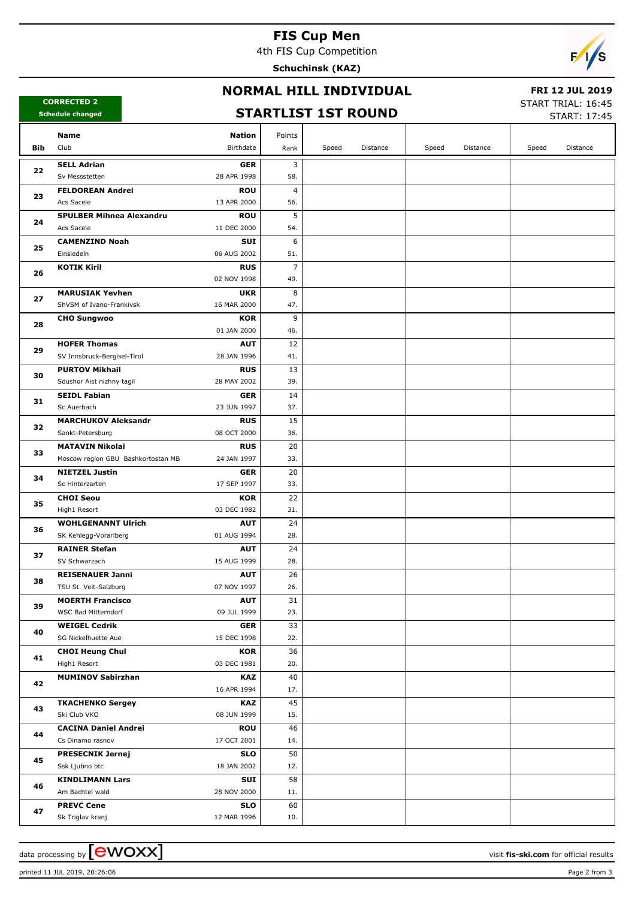## **FIS Cup Men**

4th FIS Cup Competition

**Schuchinsk (KAZ)**



#### **NORMAL HILL INDIVIDUAL**

#### **CORRECTED 2 Schedule changed**

#### **FRI 12 JUL 2019**

**STARTLIST 1ST ROUND**

START TRIAL: 16:45  $STAPT: 17:45$ 

|     | cheadle changed                            |                           |                |       |          |       |          |       | SIARI: 17:45 |
|-----|--------------------------------------------|---------------------------|----------------|-------|----------|-------|----------|-------|--------------|
|     | Name                                       | <b>Nation</b>             | Points         |       |          |       |          |       |              |
| Bib | Club                                       | Birthdate                 | Rank           | Speed | Distance | Speed | Distance | Speed | Distance     |
|     | <b>SELL Adrian</b>                         | <b>GER</b>                | 3              |       |          |       |          |       |              |
| 22  | Sv Messstetten                             | 28 APR 1998               | 58.            |       |          |       |          |       |              |
| 23  | <b>FELDOREAN Andrei</b>                    | <b>ROU</b>                | 4              |       |          |       |          |       |              |
|     | Acs Sacele                                 | 13 APR 2000               | 56.            |       |          |       |          |       |              |
|     | <b>SPULBER Mihnea Alexandru</b>            | <b>ROU</b>                | 5              |       |          |       |          |       |              |
| 24  | Acs Sacele                                 | 11 DEC 2000               | 54.            |       |          |       |          |       |              |
|     | <b>CAMENZIND Noah</b>                      | SUI                       | 6              |       |          |       |          |       |              |
| 25  | Einsiedeln                                 | 06 AUG 2002               | 51.            |       |          |       |          |       |              |
|     | <b>KOTIK Kiril</b>                         | <b>RUS</b>                | $\overline{7}$ |       |          |       |          |       |              |
| 26  |                                            | 02 NOV 1998               | 49.            |       |          |       |          |       |              |
| 27  | <b>MARUSIAK Yevhen</b>                     | <b>UKR</b>                | 8              |       |          |       |          |       |              |
|     | ShVSM of Ivano-Frankivsk                   | 16 MAR 2000               | 47.            |       |          |       |          |       |              |
| 28  | <b>CHO Sungwoo</b>                         | KOR                       | 9              |       |          |       |          |       |              |
|     |                                            | 01 JAN 2000               | 46.            |       |          |       |          |       |              |
| 29  | <b>HOFER Thomas</b>                        | <b>AUT</b>                | 12             |       |          |       |          |       |              |
|     | SV Innsbruck-Bergisel-Tirol                | 28 JAN 1996               | 41.            |       |          |       |          |       |              |
| 30  | <b>PURTOV Mikhail</b>                      | <b>RUS</b>                | 13             |       |          |       |          |       |              |
|     | Sdushor Aist nizhny tagil                  | 28 MAY 2002               | 39.            |       |          |       |          |       |              |
| 31  | <b>SEIDL Fabian</b>                        | <b>GER</b>                | 14             |       |          |       |          |       |              |
|     | Sc Auerbach                                | 23 JUN 1997               | 37.            |       |          |       |          |       |              |
| 32  | <b>MARCHUKOV Aleksandr</b>                 | <b>RUS</b><br>08 OCT 2000 | 15<br>36.      |       |          |       |          |       |              |
|     | Sankt-Petersburg<br><b>MATAVIN Nikolai</b> | <b>RUS</b>                | 20             |       |          |       |          |       |              |
| 33  | Moscow region GBU Bashkortostan MB         | 24 JAN 1997               | 33.            |       |          |       |          |       |              |
|     | <b>NIETZEL Justin</b>                      | <b>GER</b>                | 20             |       |          |       |          |       |              |
| 34  | Sc Hinterzarten                            | 17 SEP 1997               | 33.            |       |          |       |          |       |              |
|     | <b>CHOI Seou</b>                           | KOR                       | 22             |       |          |       |          |       |              |
| 35  | High1 Resort                               | 03 DEC 1982               | 31.            |       |          |       |          |       |              |
|     | <b>WOHLGENANNT Ulrich</b>                  | <b>AUT</b>                | 24             |       |          |       |          |       |              |
| 36  | SK Kehlegg-Vorarlberg                      | 01 AUG 1994               | 28.            |       |          |       |          |       |              |
|     | <b>RAINER Stefan</b>                       | <b>AUT</b>                | 24             |       |          |       |          |       |              |
| 37  | SV Schwarzach                              | 15 AUG 1999               | 28.            |       |          |       |          |       |              |
| 38  | <b>REISENAUER Janni</b>                    | <b>AUT</b>                | 26             |       |          |       |          |       |              |
|     | TSU St. Veit-Salzburg                      | 07 NOV 1997               | 26.            |       |          |       |          |       |              |
| 39  | <b>MOERTH Francisco</b>                    | <b>AUT</b>                | 31             |       |          |       |          |       |              |
|     | WSC Bad Mitterndorf                        | 09 JUL 1999               | 23.            |       |          |       |          |       |              |
| 40  | <b>WEIGEL Cedrik</b>                       | <b>GER</b>                | 33             |       |          |       |          |       |              |
|     | SG Nickelhuette Aue                        | 15 DEC 1998               | 22.            |       |          |       |          |       |              |
| 41  | <b>CHOI Heung Chul</b>                     | KOR                       | 36             |       |          |       |          |       |              |
|     | High1 Resort                               | 03 DEC 1981               | 20.            |       |          |       |          |       |              |
| 42  | <b>MUMINOV Sabirzhan</b>                   | <b>KAZ</b><br>16 APR 1994 | 40<br>17.      |       |          |       |          |       |              |
|     |                                            |                           | 45             |       |          |       |          |       |              |
| 43  | <b>TKACHENKO Sergey</b><br>Ski Club VKO    | <b>KAZ</b><br>08 JUN 1999 | 15.            |       |          |       |          |       |              |
|     | <b>CACINA Daniel Andrei</b>                | <b>ROU</b>                | 46             |       |          |       |          |       |              |
| 44  | Cs Dinamo rasnov                           | 17 OCT 2001               | 14.            |       |          |       |          |       |              |
|     | <b>PRESECNIK Jernej</b>                    | <b>SLO</b>                | 50             |       |          |       |          |       |              |
| 45  | Ssk Ljubno btc                             | 18 JAN 2002               | 12.            |       |          |       |          |       |              |
|     | <b>KINDLIMANN Lars</b>                     | SUI                       | 58             |       |          |       |          |       |              |
| 46  | Am Bachtel wald                            | 28 NOV 2000               | 11.            |       |          |       |          |       |              |
| 47  | <b>PREVC Cene</b>                          | <b>SLO</b>                | 60             |       |          |       |          |       |              |
|     | Sk Triglav kranj                           | 12 MAR 1996               | 10.            |       |          |       |          |       |              |

data processing by **CWOXX** and the set of the set of the visit **fis-ski.com** for official results